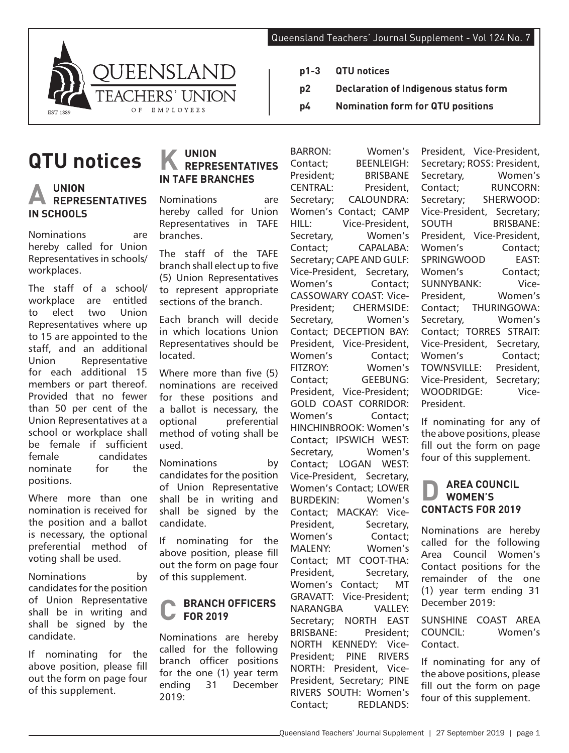**p2 Declaration of Indigenous status form p4 Nomination form for QTU positions**

**p1-3 QTU notices**



## **QTU notices**

## **A UNION REPRESENTATIVES IN SCHOOLS**

Nominations are hereby called for Union Representatives in schools/ workplaces.

The staff of a school/ workplace are entitled to elect two Union Representatives where up to 15 are appointed to the staff, and an additional Union Representative for each additional 15 members or part thereof. Provided that no fewer than 50 per cent of the Union Representatives at a school or workplace shall be female if sufficient<br>female candidates candidates nominate for the positions.

Where more than one nomination is received for the position and a ballot is necessary, the optional preferential method of voting shall be used.

Nominations by candidates for the position of Union Representative shall be in writing and shall be signed by the candidate.

If nominating for the above position, please fill out the form on page four of this supplement.

### **K UNION REPRESENTATIVES IN TAFE BRANCHES**

Nominations are hereby called for Union Representatives in TAFE branches.

The staff of the TAFE branch shall elect up to five (5) Union Representatives to represent appropriate sections of the branch.

Each branch will decide in which locations Union Representatives should be located.

Where more than five (5) nominations are received for these positions and a ballot is necessary, the optional preferential method of voting shall be used.

Nominations by candidates for the position of Union Representative shall be in writing and shall be signed by the candidate.

If nominating for the above position, please fill out the form on page four of this supplement.

# **C BRANCH OFFICERS FOR 2019**

Nominations are hereby called for the following branch officer positions for the one (1) year term ending 31 December 2019:

BARRON: Women's Contact; BEENLEIGH: President; BRISBANE CENTRAL: President, Secretary; CALOUNDRA: Women's Contact; CAMP HILL: Vice-President, Secretary, Women's Contact; CAPALABA: Secretary; CAPE AND GULF: Vice-President, Secretary, Women's Contact; CASSOWARY COAST: Vice-President; CHERMSIDE: Secretary, Women's Contact; DECEPTION BAY: President, Vice-President, Women's Contact; FITZROY: Women's Contact; GEEBUNG: President, Vice-President; GOLD COAST CORRIDOR: Women's Contact; HINCHINBROOK: Women's Contact; IPSWICH WEST: Secretary, Women's Contact; LOGAN WEST: Vice-President, Secretary, Women's Contact; LOWER BURDEKIN: Women's Contact; MACKAY: Vice-President, Secretary, Women's Contact; MALENY: Women's Contact; MT COOT-THA: President, Secretary, Women's Contact; MT GRAVATT: Vice-President; NARANGBA VALLEY: Secretary; NORTH EAST BRISBANE: President; NORTH KENNEDY: Vice-President; PINE RIVERS NORTH: President, Vice-President, Secretary; PINE RIVERS SOUTH: Women's Contact; REDLANDS:

President, Vice-President, Secretary; ROSS: President, Secretary, Women's Contact; RUNCORN: Secretary; SHERWOOD: Vice-President, Secretary; SOUTH BRISBANE: President, Vice-President, Women's Contact; SPRINGWOOD EAST: Women's Contact: SUNNYBANK: Vice-President, Women's Contact; THURINGOWA: Secretary, Women's Contact; TORRES STRAIT: Vice-President, Secretary, Women's Contact; TOWNSVILLE: President, Vice-President, Secretary; WOODRIDGE: Vice-President.

If nominating for any of the above positions, please fill out the form on page four of this supplement.

#### **D AREA COUNCIL WOMEN'S CONTACTS FOR 2019**

Nominations are hereby called for the following Area Council Women's Contact positions for the remainder of the one (1) year term ending 31 December 2019:

SUNSHINE COAST AREA COUNCIL: Women's Contact.

If nominating for any of the above positions, please fill out the form on page four of this supplement.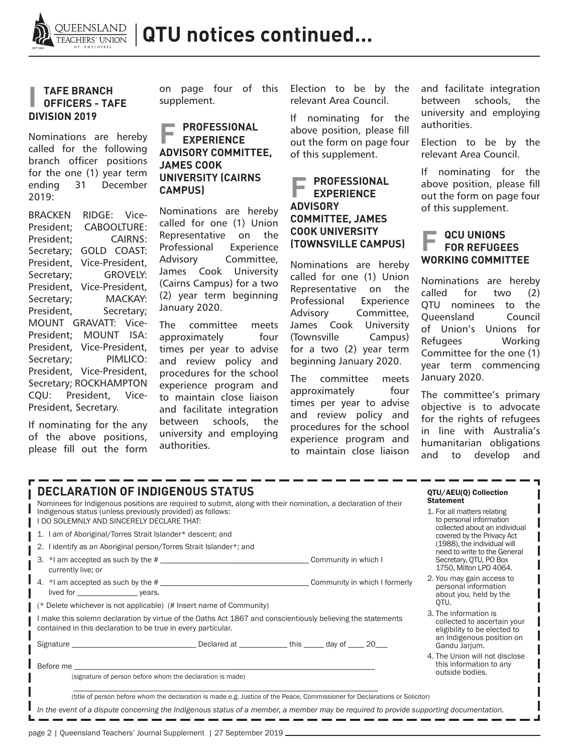

## **I TAFE BRANCH OFFICERS - TAFE DIVISION 2019**

Nominations are hereby called for the following branch officer positions for the one (1) year term ending 31 December 2019:

BRACKEN RIDGE: Vice-President; CABOOLTURE: President; CAIRNS: Secretary; GOLD COAST: President, Vice-President, Secretary; GROVELY: President, Vice-President, Secretary; MACKAY: President, Secretary; MOUNT GRAVATT: Vice-President; MOUNT ISA: President, Vice-President, Secretary; PIMLICO: President, Vice-President, Secretary; ROCKHAMPTON CQU: President, Vice-President, Secretary.

If nominating for the any of the above positions, please fill out the form

on page four of this supplement.

#### **F PROFESSIONAL EXPERIENCE ADVISORY COMMITTEE, JAMES COOK UNIVERSITY (CAIRNS CAMPUS)**

Nominations are hereby called for one (1) Union Representative on the Professional Experience Advisory Committee, James Cook University (Cairns Campus) for a two (2) year term beginning January 2020.

The committee meets approximately four times per year to advise and review policy and procedures for the school experience program and to maintain close liaison and facilitate integration between schools, the university and employing authorities.

Election to be by the relevant Area Council.

If nominating for the above position, please fill out the form on page four of this supplement.

#### **F PROFESSIONAL EXPERIENCE ADVISORY COMMITTEE, JAMES COOK UNIVERSITY (TOWNSVILLE CAMPUS)**

Nominations are hereby called for one (1) Union Representative on the Professional Experience Advisory Committee, James Cook University (Townsville Campus) for a two (2) year term beginning January 2020.

The committee meets approximately four times per year to advise and review policy and procedures for the school experience program and to maintain close liaison

and facilitate integration between schools, the university and employing authorities.

Election to be by the relevant Area Council.

If nominating for the above position, please fill out the form on page four of this supplement.

#### **QCU UNIONS FOR REFUGEES WORKING COMMITTEE**

Nominations are hereby called for two (2) QTU nominees to the Queensland Council of Union's Unions for Refugees Working Committee for the one (1) year term commencing January 2020.

The committee's primary objective is to advocate for the rights of refugees in line with Australia's humanitarian obligations and to develop and

| <b>DECLARATION OF INDIGENOUS STATUS</b>                                                                                                                                                                                       | QTU/AEU(Q) Collection<br><b>Statement</b>                                                                             |  |  |
|-------------------------------------------------------------------------------------------------------------------------------------------------------------------------------------------------------------------------------|-----------------------------------------------------------------------------------------------------------------------|--|--|
| Nominees for Indigenous positions are required to submit, along with their nomination, a declaration of their<br>Indigenous status (unless previously provided) as follows:<br>I DO SOLEMNLY AND SINCERELY DECLARE THAT:      | 1. For all matters relating<br>to personal information<br>collected about an individual<br>covered by the Privacy Act |  |  |
| 1. I am of Aboriginal/Torres Strait Islander* descent; and                                                                                                                                                                    |                                                                                                                       |  |  |
| (1988), the individual will<br>2. I identify as an Aboriginal person/Torres Strait Islander*; and<br>need to write to the General                                                                                             |                                                                                                                       |  |  |
| currently live; or                                                                                                                                                                                                            | Secretary, QTU, PO Box<br>1750, Milton LPO 4064.                                                                      |  |  |
| lived for ________________________ years.                                                                                                                                                                                     | 2. You may gain access to<br>personal information<br>about you, held by the                                           |  |  |
| (* Delete whichever is not applicable) (# Insert name of Community)                                                                                                                                                           | OTU.                                                                                                                  |  |  |
| I make this solemn declaration by virtue of the Oaths Act 1867 and conscientiously believing the statements<br>contained in this declaration to be true in every particular.                                                  | 3. The information is<br>collected to ascertain your<br>eligibility to be elected to                                  |  |  |
|                                                                                                                                                                                                                               | an Indigenous position on<br>Gandu Jarjum.                                                                            |  |  |
| Before me and the state of the state of the state of the state of the state of the state of the state of the state of the state of the state of the state of the state of the state of the state of the state of the state of | 4. The Union will not disclose<br>this information to any                                                             |  |  |
| (signature of person before whom the declaration is made)                                                                                                                                                                     | outside bodies.                                                                                                       |  |  |
| (title of person before whom the declaration is made e.g. Justice of the Peace, Commissioner for Declarations or Solicitor)                                                                                                   |                                                                                                                       |  |  |
|                                                                                                                                                                                                                               |                                                                                                                       |  |  |
| In the event of a dispute concerning the Indigenous status of a member, a member may be required to provide supporting documentation.                                                                                         |                                                                                                                       |  |  |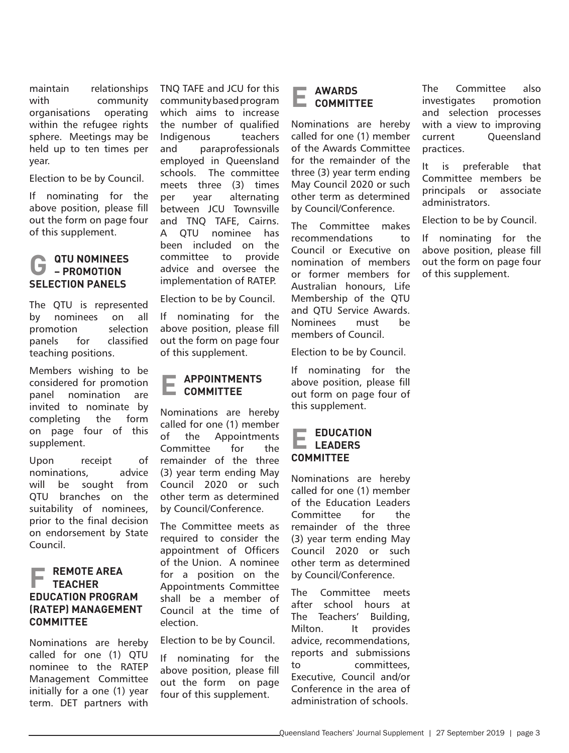maintain relationships with community organisations operating within the refugee rights sphere. Meetings may be held up to ten times per year.

Election to be by Council.

If nominating for the above position, please fill out the form on page four of this supplement.

#### **G QTU NOMINEES – PROMOTION SELECTION PANELS**

The QTU is represented by nominees on all promotion selection panels for classified teaching positions.

Members wishing to be considered for promotion panel nomination are invited to nominate by completing the form on page four of this supplement.

Upon receipt of nominations, advice will be sought from QTU branches on the suitability of nominees, prior to the final decision on endorsement by State Council.

#### **REMOTE AREA TEACHER EDUCATION PROGRAM (RATEP) MANAGEMENT COMMITTEE**

Nominations are hereby called for one (1) QTU nominee to the RATEP Management Committee initially for a one (1) year term. DET partners with

TNQ TAFE and JCU for this community based program which aims to increase the number of qualified Indigenous teachers and paraprofessionals employed in Queensland schools. The committee meets three (3) times per year alternating between JCU Townsville and TNQ TAFE, Cairns. A QTU nominee has been included on the committee to provide advice and oversee the implementation of RATEP.

Election to be by Council.

If nominating for the above position, please fill out the form on page four of this supplement.

#### **E APPOINTMENTS COMMITTEE**

Nominations are hereby called for one (1) member of the Appointments Committee for the remainder of the three (3) year term ending May Council 2020 or such other term as determined by Council/Conference.

The Committee meets as required to consider the appointment of Officers of the Union. A nominee for a position on the Appointments Committee shall be a member of Council at the time of election.

Election to be by Council.

If nominating for the above position, please fill out the form on page four of this supplement.

#### **E AWARDS COMMITTEE**

Nominations are hereby called for one (1) member of the Awards Committee for the remainder of the three (3) year term ending May Council 2020 or such other term as determined by Council/Conference.

The Committee makes recommendations to Council or Executive on nomination of members or former members for Australian honours, Life Membership of the QTU and QTU Service Awards. Nominees must be members of Council.

Election to be by Council.

If nominating for the above position, please fill out form on page four of this supplement.

## **E EDUCATION LEADERS COMMITTEE**

Nominations are hereby called for one (1) member of the Education Leaders Committee for the remainder of the three (3) year term ending May Council 2020 or such other term as determined by Council/Conference.

The Committee meets after school hours at The Teachers' Building, Milton. It provides advice, recommendations, reports and submissions to committees, Executive, Council and/or Conference in the area of administration of schools.

The Committee also investigates promotion and selection processes with a view to improving current Queensland practices.

It is preferable that Committee members be principals or associate administrators.

Election to be by Council.

If nominating for the above position, please fill out the form on page four of this supplement.